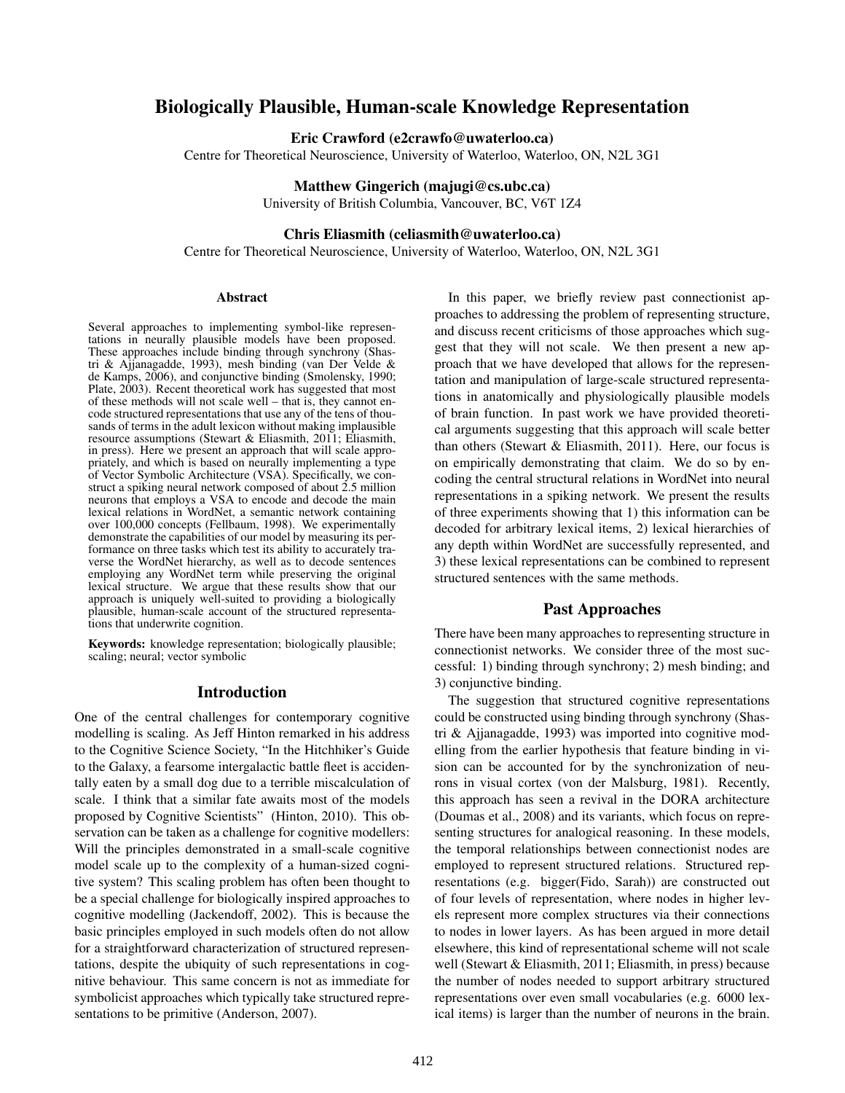# Biologically Plausible, Human-scale Knowledge Representation

Eric Crawford (e2crawfo@uwaterloo.ca)

Centre for Theoretical Neuroscience, University of Waterloo, Waterloo, ON, N2L 3G1

Matthew Gingerich (majugi@cs.ubc.ca)

University of British Columbia, Vancouver, BC, V6T 1Z4

### Chris Eliasmith (celiasmith@uwaterloo.ca)

Centre for Theoretical Neuroscience, University of Waterloo, Waterloo, ON, N2L 3G1

#### Abstract

Several approaches to implementing symbol-like representations in neurally plausible models have been proposed. These approaches include binding through synchrony (Shastri & Ajjanagadde, 1993), mesh binding (van Der Velde & de Kamps, 2006), and conjunctive binding (Smolensky, 1990; Plate, 2003). Recent theoretical work has suggested that most of these methods will not scale well – that is, they cannot encode structured representations that use any of the tens of thousands of terms in the adult lexicon without making implausible resource assumptions (Stewart & Eliasmith, 2011; Eliasmith, in press). Here we present an approach that will scale appropriately, and which is based on neurally implementing a type of Vector Symbolic Architecture (VSA). Specifically, we construct a spiking neural network composed of about 2.5 million neurons that employs a VSA to encode and decode the main lexical relations in WordNet, a semantic network containing over 100,000 concepts (Fellbaum, 1998). We experimentally demonstrate the capabilities of our model by measuring its performance on three tasks which test its ability to accurately traverse the WordNet hierarchy, as well as to decode sentences employing any WordNet term while preserving the original lexical structure. We argue that these results show that our approach is uniquely well-suited to providing a biologically plausible, human-scale account of the structured representations that underwrite cognition.

Keywords: knowledge representation; biologically plausible; scaling; neural; vector symbolic

#### Introduction

One of the central challenges for contemporary cognitive modelling is scaling. As Jeff Hinton remarked in his address to the Cognitive Science Society, "In the Hitchhiker's Guide to the Galaxy, a fearsome intergalactic battle fleet is accidentally eaten by a small dog due to a terrible miscalculation of scale. I think that a similar fate awaits most of the models proposed by Cognitive Scientists" (Hinton, 2010). This observation can be taken as a challenge for cognitive modellers: Will the principles demonstrated in a small-scale cognitive model scale up to the complexity of a human-sized cognitive system? This scaling problem has often been thought to be a special challenge for biologically inspired approaches to cognitive modelling (Jackendoff, 2002). This is because the basic principles employed in such models often do not allow for a straightforward characterization of structured representations, despite the ubiquity of such representations in cognitive behaviour. This same concern is not as immediate for symbolicist approaches which typically take structured representations to be primitive (Anderson, 2007).

In this paper, we briefly review past connectionist approaches to addressing the problem of representing structure, and discuss recent criticisms of those approaches which suggest that they will not scale. We then present a new approach that we have developed that allows for the representation and manipulation of large-scale structured representations in anatomically and physiologically plausible models of brain function. In past work we have provided theoretical arguments suggesting that this approach will scale better than others (Stewart & Eliasmith, 2011). Here, our focus is on empirically demonstrating that claim. We do so by encoding the central structural relations in WordNet into neural representations in a spiking network. We present the results of three experiments showing that 1) this information can be decoded for arbitrary lexical items, 2) lexical hierarchies of any depth within WordNet are successfully represented, and 3) these lexical representations can be combined to represent structured sentences with the same methods.

## Past Approaches

There have been many approaches to representing structure in connectionist networks. We consider three of the most successful: 1) binding through synchrony; 2) mesh binding; and 3) conjunctive binding.

The suggestion that structured cognitive representations could be constructed using binding through synchrony (Shastri & Ajjanagadde, 1993) was imported into cognitive modelling from the earlier hypothesis that feature binding in vision can be accounted for by the synchronization of neurons in visual cortex (von der Malsburg, 1981). Recently, this approach has seen a revival in the DORA architecture (Doumas et al., 2008) and its variants, which focus on representing structures for analogical reasoning. In these models, the temporal relationships between connectionist nodes are employed to represent structured relations. Structured representations (e.g. bigger(Fido, Sarah)) are constructed out of four levels of representation, where nodes in higher levels represent more complex structures via their connections to nodes in lower layers. As has been argued in more detail elsewhere, this kind of representational scheme will not scale well (Stewart & Eliasmith, 2011; Eliasmith, in press) because the number of nodes needed to support arbitrary structured representations over even small vocabularies (e.g. 6000 lexical items) is larger than the number of neurons in the brain.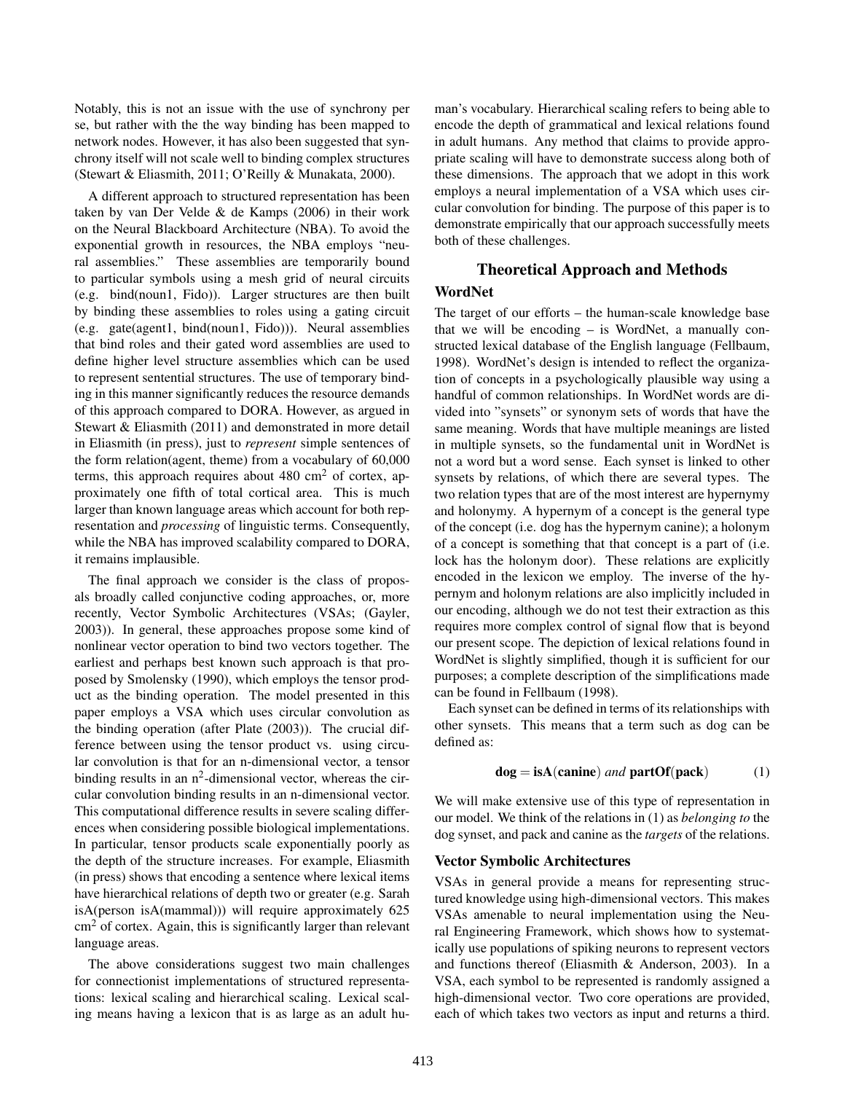Notably, this is not an issue with the use of synchrony per se, but rather with the the way binding has been mapped to network nodes. However, it has also been suggested that synchrony itself will not scale well to binding complex structures (Stewart & Eliasmith, 2011; O'Reilly & Munakata, 2000).

A different approach to structured representation has been taken by van Der Velde & de Kamps (2006) in their work on the Neural Blackboard Architecture (NBA). To avoid the exponential growth in resources, the NBA employs "neural assemblies." These assemblies are temporarily bound to particular symbols using a mesh grid of neural circuits (e.g. bind(noun1, Fido)). Larger structures are then built by binding these assemblies to roles using a gating circuit (e.g. gate(agent1, bind(noun1, Fido))). Neural assemblies that bind roles and their gated word assemblies are used to define higher level structure assemblies which can be used to represent sentential structures. The use of temporary binding in this manner significantly reduces the resource demands of this approach compared to DORA. However, as argued in Stewart & Eliasmith (2011) and demonstrated in more detail in Eliasmith (in press), just to *represent* simple sentences of the form relation(agent, theme) from a vocabulary of 60,000 terms, this approach requires about  $480 \text{ cm}^2$  of cortex, approximately one fifth of total cortical area. This is much larger than known language areas which account for both representation and *processing* of linguistic terms. Consequently, while the NBA has improved scalability compared to DORA, it remains implausible.

The final approach we consider is the class of proposals broadly called conjunctive coding approaches, or, more recently, Vector Symbolic Architectures (VSAs; (Gayler, 2003)). In general, these approaches propose some kind of nonlinear vector operation to bind two vectors together. The earliest and perhaps best known such approach is that proposed by Smolensky (1990), which employs the tensor product as the binding operation. The model presented in this paper employs a VSA which uses circular convolution as the binding operation (after Plate (2003)). The crucial difference between using the tensor product vs. using circular convolution is that for an n-dimensional vector, a tensor binding results in an  $n^2$ -dimensional vector, whereas the circular convolution binding results in an n-dimensional vector. This computational difference results in severe scaling differences when considering possible biological implementations. In particular, tensor products scale exponentially poorly as the depth of the structure increases. For example, Eliasmith (in press) shows that encoding a sentence where lexical items have hierarchical relations of depth two or greater (e.g. Sarah isA(person isA(mammal))) will require approximately 625 cm<sup>2</sup> of cortex. Again, this is significantly larger than relevant language areas.

The above considerations suggest two main challenges for connectionist implementations of structured representations: lexical scaling and hierarchical scaling. Lexical scaling means having a lexicon that is as large as an adult human's vocabulary. Hierarchical scaling refers to being able to encode the depth of grammatical and lexical relations found in adult humans. Any method that claims to provide appropriate scaling will have to demonstrate success along both of these dimensions. The approach that we adopt in this work employs a neural implementation of a VSA which uses circular convolution for binding. The purpose of this paper is to demonstrate empirically that our approach successfully meets both of these challenges.

# Theoretical Approach and Methods

## WordNet

The target of our efforts – the human-scale knowledge base that we will be encoding – is WordNet, a manually constructed lexical database of the English language (Fellbaum, 1998). WordNet's design is intended to reflect the organization of concepts in a psychologically plausible way using a handful of common relationships. In WordNet words are divided into "synsets" or synonym sets of words that have the same meaning. Words that have multiple meanings are listed in multiple synsets, so the fundamental unit in WordNet is not a word but a word sense. Each synset is linked to other synsets by relations, of which there are several types. The two relation types that are of the most interest are hypernymy and holonymy. A hypernym of a concept is the general type of the concept (i.e. dog has the hypernym canine); a holonym of a concept is something that that concept is a part of (i.e. lock has the holonym door). These relations are explicitly encoded in the lexicon we employ. The inverse of the hypernym and holonym relations are also implicitly included in our encoding, although we do not test their extraction as this requires more complex control of signal flow that is beyond our present scope. The depiction of lexical relations found in WordNet is slightly simplified, though it is sufficient for our purposes; a complete description of the simplifications made can be found in Fellbaum (1998).

Each synset can be defined in terms of its relationships with other synsets. This means that a term such as dog can be defined as:

$$
dog = isA(canine) and partOf(pack)
$$
 (1)

We will make extensive use of this type of representation in our model. We think of the relations in (1) as *belonging to* the dog synset, and pack and canine as the *targets* of the relations.

## Vector Symbolic Architectures

VSAs in general provide a means for representing structured knowledge using high-dimensional vectors. This makes VSAs amenable to neural implementation using the Neural Engineering Framework, which shows how to systematically use populations of spiking neurons to represent vectors and functions thereof (Eliasmith & Anderson, 2003). In a VSA, each symbol to be represented is randomly assigned a high-dimensional vector. Two core operations are provided, each of which takes two vectors as input and returns a third.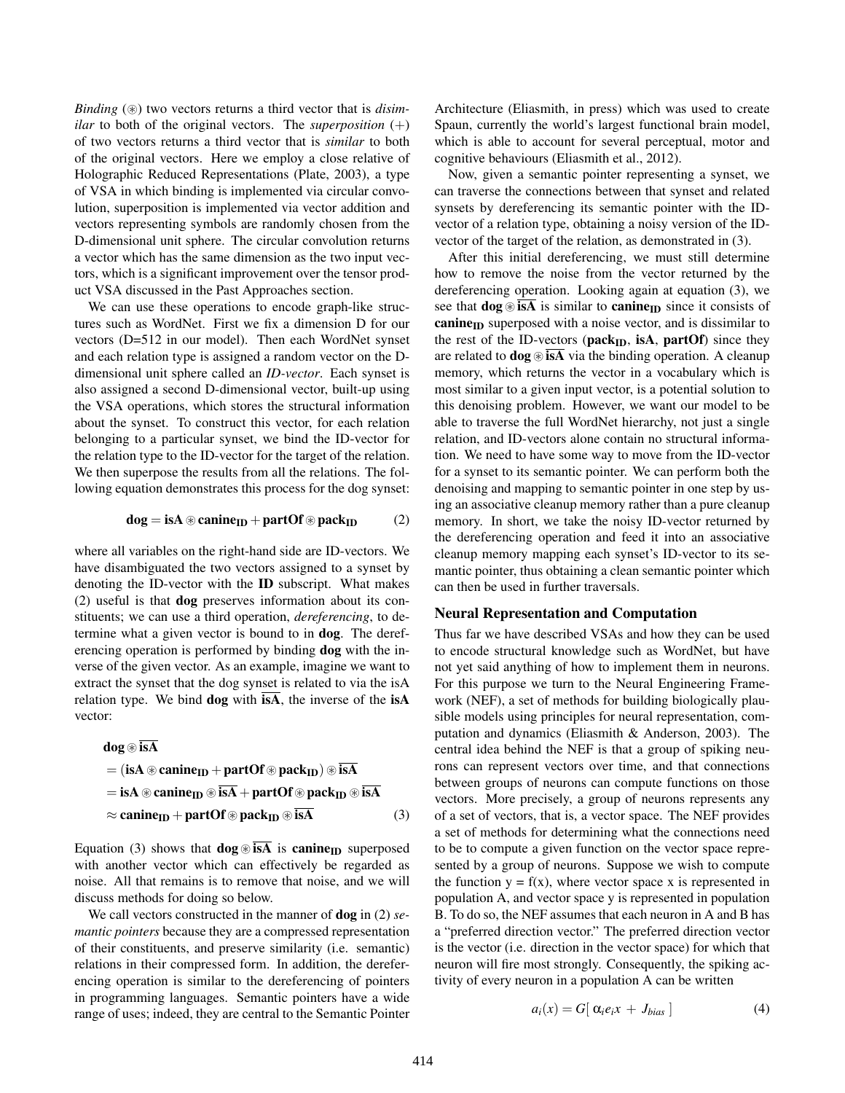*Binding* ( $\circledast$ ) two vectors returns a third vector that is *disimilar* to both of the original vectors. The *superposition*  $(+)$ of two vectors returns a third vector that is *similar* to both of the original vectors. Here we employ a close relative of Holographic Reduced Representations (Plate, 2003), a type of VSA in which binding is implemented via circular convolution, superposition is implemented via vector addition and vectors representing symbols are randomly chosen from the D-dimensional unit sphere. The circular convolution returns a vector which has the same dimension as the two input vectors, which is a significant improvement over the tensor product VSA discussed in the Past Approaches section.

We can use these operations to encode graph-like structures such as WordNet. First we fix a dimension D for our vectors (D=512 in our model). Then each WordNet synset and each relation type is assigned a random vector on the Ddimensional unit sphere called an *ID-vector*. Each synset is also assigned a second D-dimensional vector, built-up using the VSA operations, which stores the structural information about the synset. To construct this vector, for each relation belonging to a particular synset, we bind the ID-vector for the relation type to the ID-vector for the target of the relation. We then superpose the results from all the relations. The following equation demonstrates this process for the dog synset:

$$
dog = isA \circledast canine_{ID} + partOf \circledast pack_{ID} \qquad \quad \ (2)
$$

where all variables on the right-hand side are ID-vectors. We have disambiguated the two vectors assigned to a synset by denoting the ID-vector with the ID subscript. What makes (2) useful is that dog preserves information about its constituents; we can use a third operation, *dereferencing*, to determine what a given vector is bound to in dog. The dereferencing operation is performed by binding dog with the inverse of the given vector. As an example, imagine we want to extract the synset that the dog synset is related to via the isA relation type. We bind  $\log$  with  $\overline{\text{isA}}$ , the inverse of the  $\text{isA}$ vector:

$$
dog \circledast \overline{isA}
$$
  
= (isA  $\circledast$  canine<sub>ID</sub> + partOf  $\circledast$  pack<sub>ID</sub>)  $\circledast$   $\overline{isA}$   
= isA  $\circledast$  canine<sub>ID</sub>  $\circledast \overline{isA}$  + partOf  $\circledast$  pack<sub>ID</sub>  $\circledast \overline{isA}$   
 $\approx$  canine<sub>ID</sub> + partOf  $\circledast$  pack<sub>ID</sub>  $\circledast \overline{isA}$  (3)

Equation (3) shows that  $\textbf{dog} \otimes \overline{\textbf{isA}}$  is canine<sub>ID</sub> superposed with another vector which can effectively be regarded as noise. All that remains is to remove that noise, and we will discuss methods for doing so below.

We call vectors constructed in the manner of dog in (2) *semantic pointers* because they are a compressed representation of their constituents, and preserve similarity (i.e. semantic) relations in their compressed form. In addition, the dereferencing operation is similar to the dereferencing of pointers in programming languages. Semantic pointers have a wide range of uses; indeed, they are central to the Semantic Pointer Architecture (Eliasmith, in press) which was used to create Spaun, currently the world's largest functional brain model, which is able to account for several perceptual, motor and cognitive behaviours (Eliasmith et al., 2012).

Now, given a semantic pointer representing a synset, we can traverse the connections between that synset and related synsets by dereferencing its semantic pointer with the IDvector of a relation type, obtaining a noisy version of the IDvector of the target of the relation, as demonstrated in (3).

After this initial dereferencing, we must still determine how to remove the noise from the vector returned by the dereferencing operation. Looking again at equation (3), we see that  $\log$   $\otimes$  is A is similar to canine<sub>ID</sub> since it consists of canine<sub>ID</sub> superposed with a noise vector, and is dissimilar to the rest of the ID-vectors ( $\text{pack}_{ID}$ , isA,  $\text{partOf}$ ) since they are related to  $\log \circledast$  is A via the binding operation. A cleanup memory, which returns the vector in a vocabulary which is most similar to a given input vector, is a potential solution to this denoising problem. However, we want our model to be able to traverse the full WordNet hierarchy, not just a single relation, and ID-vectors alone contain no structural information. We need to have some way to move from the ID-vector for a synset to its semantic pointer. We can perform both the denoising and mapping to semantic pointer in one step by using an associative cleanup memory rather than a pure cleanup memory. In short, we take the noisy ID-vector returned by the dereferencing operation and feed it into an associative cleanup memory mapping each synset's ID-vector to its semantic pointer, thus obtaining a clean semantic pointer which can then be used in further traversals.

#### Neural Representation and Computation

Thus far we have described VSAs and how they can be used to encode structural knowledge such as WordNet, but have not yet said anything of how to implement them in neurons. For this purpose we turn to the Neural Engineering Framework (NEF), a set of methods for building biologically plausible models using principles for neural representation, computation and dynamics (Eliasmith & Anderson, 2003). The central idea behind the NEF is that a group of spiking neurons can represent vectors over time, and that connections between groups of neurons can compute functions on those vectors. More precisely, a group of neurons represents any of a set of vectors, that is, a vector space. The NEF provides a set of methods for determining what the connections need to be to compute a given function on the vector space represented by a group of neurons. Suppose we wish to compute the function  $y = f(x)$ , where vector space x is represented in population A, and vector space y is represented in population B. To do so, the NEF assumes that each neuron in A and B has a "preferred direction vector." The preferred direction vector is the vector (i.e. direction in the vector space) for which that neuron will fire most strongly. Consequently, the spiking activity of every neuron in a population A can be written

$$
a_i(x) = G[\alpha_i e_i x + J_{bias}] \tag{4}
$$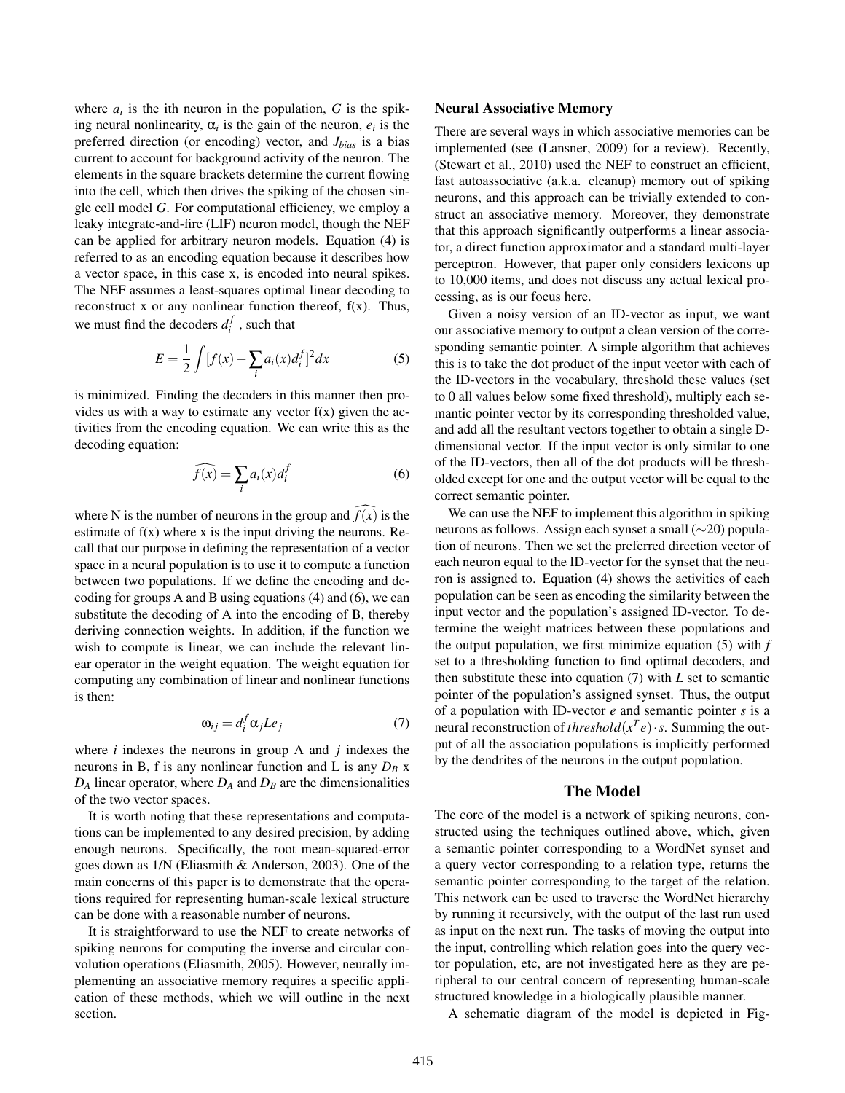where  $a_i$  is the ith neuron in the population,  $G$  is the spiking neural nonlinearity,  $\alpha_i$  is the gain of the neuron,  $e_i$  is the preferred direction (or encoding) vector, and *Jbias* is a bias current to account for background activity of the neuron. The elements in the square brackets determine the current flowing into the cell, which then drives the spiking of the chosen single cell model *G*. For computational efficiency, we employ a leaky integrate-and-fire (LIF) neuron model, though the NEF can be applied for arbitrary neuron models. Equation (4) is referred to as an encoding equation because it describes how a vector space, in this case x, is encoded into neural spikes. The NEF assumes a least-squares optimal linear decoding to reconstruct x or any nonlinear function thereof,  $f(x)$ . Thus, we must find the decoders  $d_i^f$ , such that

$$
E = \frac{1}{2} \int [f(x) - \sum_{i} a_i(x) d_i^f]^2 dx
$$
 (5)

is minimized. Finding the decoders in this manner then provides us with a way to estimate any vector  $f(x)$  given the activities from the encoding equation. We can write this as the decoding equation:

$$
\widehat{f(x)} = \sum_{i} a_i(x) d_i^f \tag{6}
$$

where N is the number of neurons in the group and  $f(x)$  is the estimate of  $f(x)$  where x is the input driving the neurons. Recall that our purpose in defining the representation of a vector space in a neural population is to use it to compute a function between two populations. If we define the encoding and decoding for groups A and B using equations (4) and (6), we can substitute the decoding of A into the encoding of B, thereby deriving connection weights. In addition, if the function we wish to compute is linear, we can include the relevant linear operator in the weight equation. The weight equation for computing any combination of linear and nonlinear functions is then:

$$
\omega_{ij} = d_i^f \alpha_j L e_j \tag{7}
$$

where *i* indexes the neurons in group A and *j* indexes the neurons in B, f is any nonlinear function and L is any *D<sup>B</sup>* x  $D_A$  linear operator, where  $D_A$  and  $D_B$  are the dimensionalities of the two vector spaces.

It is worth noting that these representations and computations can be implemented to any desired precision, by adding enough neurons. Specifically, the root mean-squared-error goes down as 1/N (Eliasmith & Anderson, 2003). One of the main concerns of this paper is to demonstrate that the operations required for representing human-scale lexical structure can be done with a reasonable number of neurons.

It is straightforward to use the NEF to create networks of spiking neurons for computing the inverse and circular convolution operations (Eliasmith, 2005). However, neurally implementing an associative memory requires a specific application of these methods, which we will outline in the next section.

#### Neural Associative Memory

There are several ways in which associative memories can be implemented (see (Lansner, 2009) for a review). Recently, (Stewart et al., 2010) used the NEF to construct an efficient, fast autoassociative (a.k.a. cleanup) memory out of spiking neurons, and this approach can be trivially extended to construct an associative memory. Moreover, they demonstrate that this approach significantly outperforms a linear associator, a direct function approximator and a standard multi-layer perceptron. However, that paper only considers lexicons up to 10,000 items, and does not discuss any actual lexical processing, as is our focus here.

Given a noisy version of an ID-vector as input, we want our associative memory to output a clean version of the corresponding semantic pointer. A simple algorithm that achieves this is to take the dot product of the input vector with each of the ID-vectors in the vocabulary, threshold these values (set to 0 all values below some fixed threshold), multiply each semantic pointer vector by its corresponding thresholded value, and add all the resultant vectors together to obtain a single Ddimensional vector. If the input vector is only similar to one of the ID-vectors, then all of the dot products will be thresholded except for one and the output vector will be equal to the correct semantic pointer.

We can use the NEF to implement this algorithm in spiking neurons as follows. Assign each synset a small (∼20) population of neurons. Then we set the preferred direction vector of each neuron equal to the ID-vector for the synset that the neuron is assigned to. Equation (4) shows the activities of each population can be seen as encoding the similarity between the input vector and the population's assigned ID-vector. To determine the weight matrices between these populations and the output population, we first minimize equation (5) with *f* set to a thresholding function to find optimal decoders, and then substitute these into equation (7) with *L* set to semantic pointer of the population's assigned synset. Thus, the output of a population with ID-vector *e* and semantic pointer *s* is a neural reconstruction of *threshold* $(x^T e) \cdot s$ . Summing the output of all the association populations is implicitly performed by the dendrites of the neurons in the output population.

## The Model

The core of the model is a network of spiking neurons, constructed using the techniques outlined above, which, given a semantic pointer corresponding to a WordNet synset and a query vector corresponding to a relation type, returns the semantic pointer corresponding to the target of the relation. This network can be used to traverse the WordNet hierarchy by running it recursively, with the output of the last run used as input on the next run. The tasks of moving the output into the input, controlling which relation goes into the query vector population, etc, are not investigated here as they are peripheral to our central concern of representing human-scale structured knowledge in a biologically plausible manner.

A schematic diagram of the model is depicted in Fig-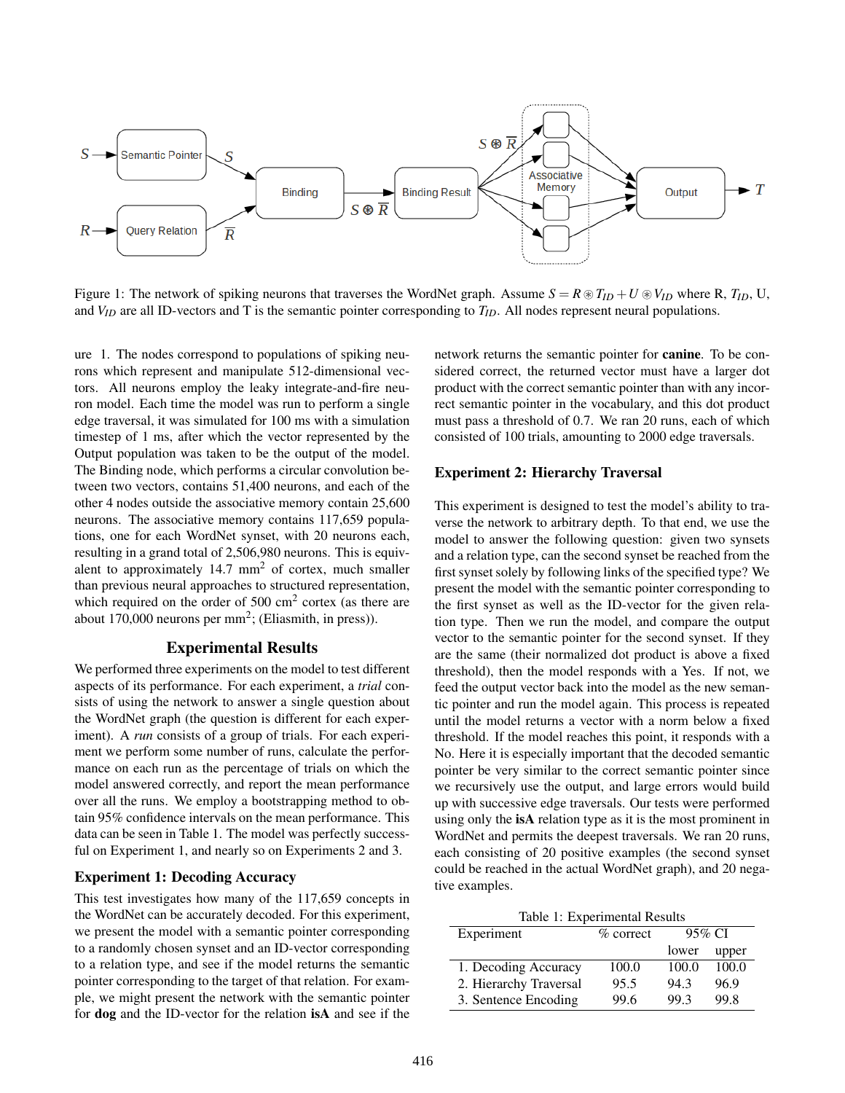

Figure 1: The network of spiking neurons that traverses the WordNet graph. Assume  $S = R \otimes T_{ID} + U \otimes V_{ID}$  where R,  $T_{ID}$ , U, and  $V_{ID}$  are all ID-vectors and T is the semantic pointer corresponding to  $T_{ID}$ . All nodes represent neural populations.

ure 1. The nodes correspond to populations of spiking neurons which represent and manipulate 512-dimensional vectors. All neurons employ the leaky integrate-and-fire neuron model. Each time the model was run to perform a single edge traversal, it was simulated for 100 ms with a simulation timestep of 1 ms, after which the vector represented by the Output population was taken to be the output of the model. The Binding node, which performs a circular convolution between two vectors, contains 51,400 neurons, and each of the other 4 nodes outside the associative memory contain 25,600 neurons. The associative memory contains 117,659 populations, one for each WordNet synset, with 20 neurons each, resulting in a grand total of 2,506,980 neurons. This is equivalent to approximately 14.7 mm<sup>2</sup> of cortex, much smaller than previous neural approaches to structured representation, which required on the order of 500  $\text{cm}^2$  cortex (as there are about 170,000 neurons per  $mm^2$ ; (Eliasmith, in press)).

### Experimental Results

We performed three experiments on the model to test different aspects of its performance. For each experiment, a *trial* consists of using the network to answer a single question about the WordNet graph (the question is different for each experiment). A *run* consists of a group of trials. For each experiment we perform some number of runs, calculate the performance on each run as the percentage of trials on which the model answered correctly, and report the mean performance over all the runs. We employ a bootstrapping method to obtain 95% confidence intervals on the mean performance. This data can be seen in Table 1. The model was perfectly successful on Experiment 1, and nearly so on Experiments 2 and 3.

### Experiment 1: Decoding Accuracy

This test investigates how many of the 117,659 concepts in the WordNet can be accurately decoded. For this experiment, we present the model with a semantic pointer corresponding to a randomly chosen synset and an ID-vector corresponding to a relation type, and see if the model returns the semantic pointer corresponding to the target of that relation. For example, we might present the network with the semantic pointer for dog and the ID-vector for the relation isA and see if the network returns the semantic pointer for canine. To be considered correct, the returned vector must have a larger dot product with the correct semantic pointer than with any incorrect semantic pointer in the vocabulary, and this dot product must pass a threshold of 0.7. We ran 20 runs, each of which consisted of 100 trials, amounting to 2000 edge traversals.

#### Experiment 2: Hierarchy Traversal

This experiment is designed to test the model's ability to traverse the network to arbitrary depth. To that end, we use the model to answer the following question: given two synsets and a relation type, can the second synset be reached from the first synset solely by following links of the specified type? We present the model with the semantic pointer corresponding to the first synset as well as the ID-vector for the given relation type. Then we run the model, and compare the output vector to the semantic pointer for the second synset. If they are the same (their normalized dot product is above a fixed threshold), then the model responds with a Yes. If not, we feed the output vector back into the model as the new semantic pointer and run the model again. This process is repeated until the model returns a vector with a norm below a fixed threshold. If the model reaches this point, it responds with a No. Here it is especially important that the decoded semantic pointer be very similar to the correct semantic pointer since we recursively use the output, and large errors would build up with successive edge traversals. Our tests were performed using only the isA relation type as it is the most prominent in WordNet and permits the deepest traversals. We ran 20 runs, each consisting of 20 positive examples (the second synset could be reached in the actual WordNet graph), and 20 negative examples.

Table 1: Experimental Results

| Experiment             | $%$ correct | 95\% $CI$ |       |
|------------------------|-------------|-----------|-------|
|                        |             | lower     | upper |
| 1. Decoding Accuracy   | 100.0       | 100.0     | 100.0 |
| 2. Hierarchy Traversal | 95.5        | 94.3      | 96.9  |
| 3. Sentence Encoding   | 99.6        | 99.3      | 99.8  |